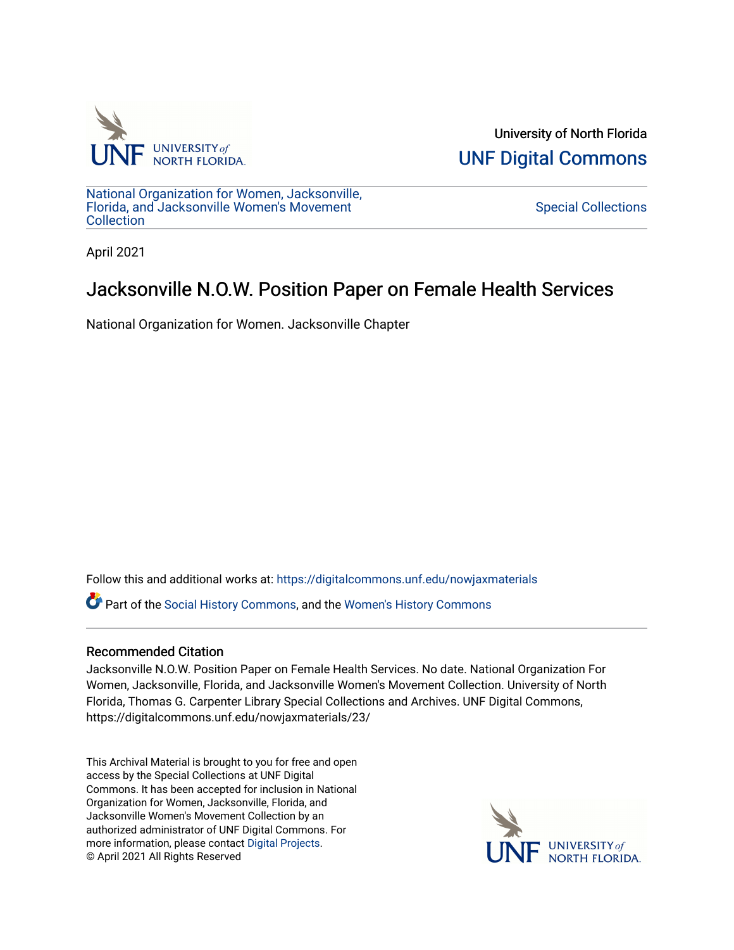

University of North Florida [UNF Digital Commons](https://digitalcommons.unf.edu/) 

[National Organization for Women, Jacksonville,](https://digitalcommons.unf.edu/nowjaxmaterials) [Florida, and Jacksonville Women's Movement](https://digitalcommons.unf.edu/nowjaxmaterials) **Collection** 

[Special Collections](https://digitalcommons.unf.edu/special_collections) 

April 2021

## Jacksonville N.O.W. Position Paper on Female Health Services

National Organization for Women. Jacksonville Chapter

Follow this and additional works at: [https://digitalcommons.unf.edu/nowjaxmaterials](https://digitalcommons.unf.edu/nowjaxmaterials?utm_source=digitalcommons.unf.edu%2Fnowjaxmaterials%2F23&utm_medium=PDF&utm_campaign=PDFCoverPages) 

Part of the [Social History Commons](http://network.bepress.com/hgg/discipline/506?utm_source=digitalcommons.unf.edu%2Fnowjaxmaterials%2F23&utm_medium=PDF&utm_campaign=PDFCoverPages), and the [Women's History Commons](http://network.bepress.com/hgg/discipline/507?utm_source=digitalcommons.unf.edu%2Fnowjaxmaterials%2F23&utm_medium=PDF&utm_campaign=PDFCoverPages)

## Recommended Citation

Jacksonville N.O.W. Position Paper on Female Health Services. No date. National Organization For Women, Jacksonville, Florida, and Jacksonville Women's Movement Collection. University of North Florida, Thomas G. Carpenter Library Special Collections and Archives. UNF Digital Commons, https://digitalcommons.unf.edu/nowjaxmaterials/23/

This Archival Material is brought to you for free and open access by the Special Collections at UNF Digital Commons. It has been accepted for inclusion in National Organization for Women, Jacksonville, Florida, and Jacksonville Women's Movement Collection by an authorized administrator of UNF Digital Commons. For more information, please contact [Digital Projects](mailto:lib-digital@unf.edu). © April 2021 All Rights Reserved

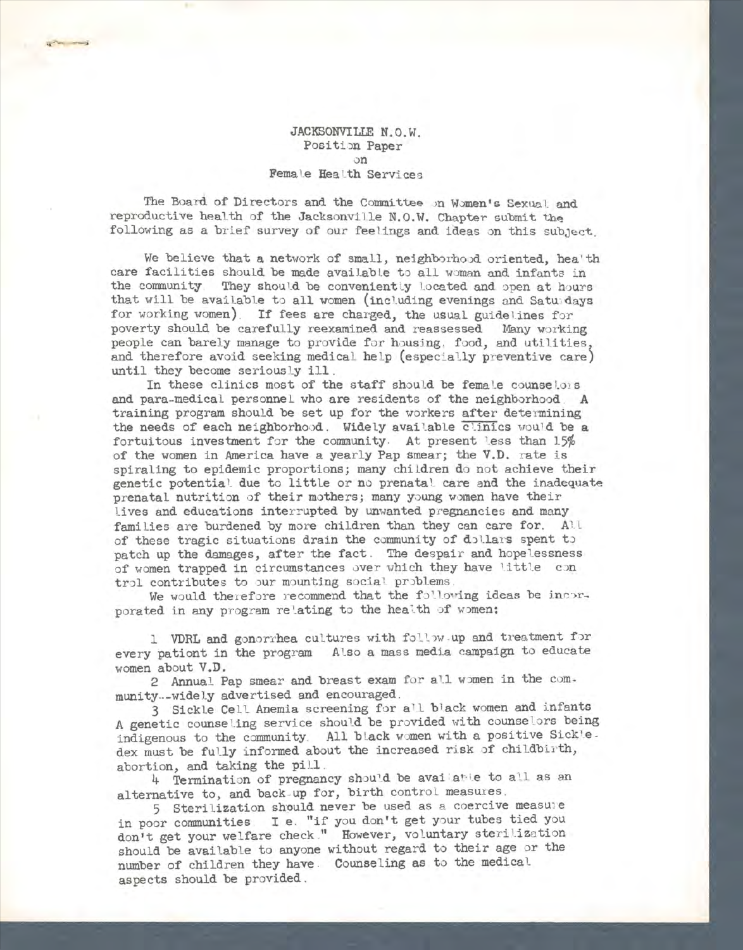## JACKSONVILIE N.O.W. Position Paper on Female Health Servi ces

The Board of Directors and the Committee on Women's Sexual and reproductive health of the Jacksonville N.O.W. Chapter submit the following as a brief survey of our feelings and ideas on this subject.

We believe that a network of small, neighborhood oriented, hea'th care facilities should be made available to all woman and infants in the community. They should be conveniently located and open at hours that will be available to all women (including evenings and Saturdays for working women). If fees are charged, the usual guidelines for poverty should be carefully reexamined and reassessed Many working people can barely manage to provide for housing, food, and utilities, and therefore avoid seeking medical help (especially preventive care) until they become seriously ill.

In these clinics most of the staff should be female counselois and para-medical personnel who are residents of the neighborhood . A training program should be set up for the workers after determining the needs of each neighborhood. Widely available clinics would be a fortuitous investment for the community. At present less than  $15%$ of the women in America have a yearly Pap smear; the V.D. rate is spiraling to epidemic proportions; many children do not achieve their genetic potential due to little or no prenatal care and the inadequate prenatal nutrition of their mothers; many young women have their lives and educations interrupted by unwanted pregnancies and many families are burdened by more children than they can care for. All of these tragic situations drain the community of dollars spent to patch up the damages, after the fact. The despair and hopelessness of women trapped in circumstances over which they have little con trol contributes to our mounting social problems.

We would therefore recommend that the following ideas be incorporated in any program relating to the health of women:

1 VDRL and gonorrhea cultures with follow-up and treatment for every pationt in the program Also a mass media campaign to educate women about V.D.

2 Annual Pap smear and breast exam for all women in the com-

munity --widely advertised and encouraged.<br>3 Sickle Cell Anemia screening for all black women and infants A genetic counseling service should be provided with counselors being indigenous to the community. All black women with a positive Sickle. dex must be fully informed about the increased risk of childbirth,

abortion, and taking the pill . 4 Termination of pregnancy should be available to all as an alternative to, and back-up for, birth control measures.

5 Sterilization should never be used as a coercive measure in poor communities . I e. "if you don't get your tubes tied you don't get your welfare check ." However, voluntary sterilization should be available to anyone without regard to their age or the number of children they have . Counseling as to the medical aspects should be provided .